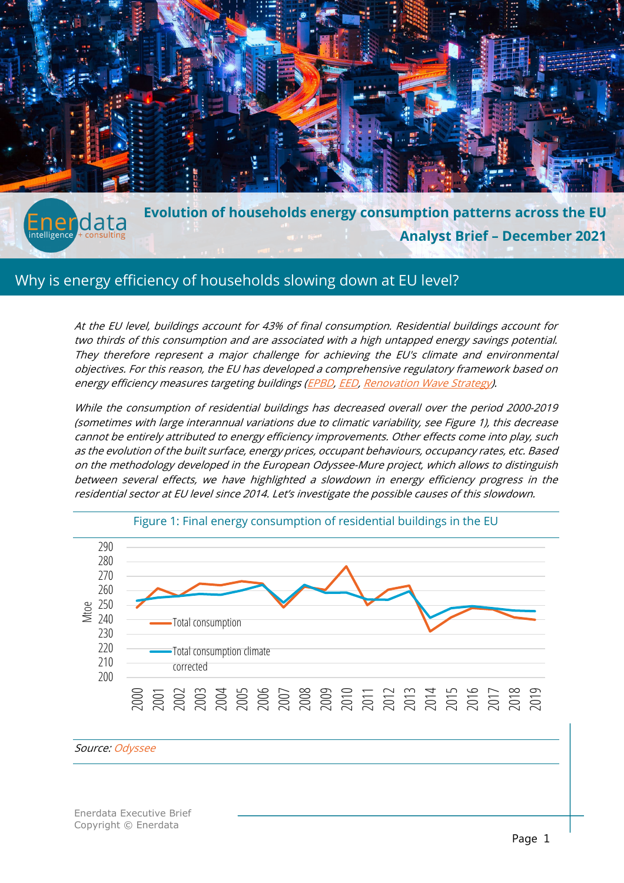

**Evolution of households energy consumption patterns across the EU** Enerdata **Analyst Brief – December 2021**

# Why is energy efficiency of households slowing down at EU level?

At the EU level, buildings account for 43% of final consumption. Residential buildings account for two thirds of this consumption and are associated with a high untapped energy savings potential. They therefore represent a major challenge for achieving the EU's climate and environmental objectives. For this reason, the EU has developed a comprehensive regulatory framework based on energy efficiency measures targeting buildings [\(EPBD,](https://ec.europa.eu/energy/topics/energy-efficiency/energy-efficient-buildings/energy-performance-buildings-directive_en) [EED,](https://ec.europa.eu/energy/topics/energy-efficiency/targets-directive-and-rules/energy-efficiency-directive_en) [Renovation Wave Strategy\)](https://ec.europa.eu/energy/topics/energy-efficiency/energy-efficient-buildings/renovation-wave_en).

While the [consumption of residential buildings](https://www.enerdata.net/research/energy-efficiency-odyssee-database.html) has decreased overall over the period 2000-2019 (sometimes with large interannual variations due to climatic variability, see Figure 1), this decrease cannot be entirely attributed to energy efficiency improvements. Other effects come into play, such as the evolution of the built surface, energy prices, occupant behaviours, occupancy rates, etc. Based on the methodology developed in the European Odyssee-Mure project, which allows to distinguish between several effects, we have highlighted a slowdown in energy efficiency progress in the residential sector at EU level since 2014. Let's investigate the possible causes of this slowdown.





#### Source[: Odyssee](https://www.enerdata.net/research/energy-efficiency-odyssee-database.html)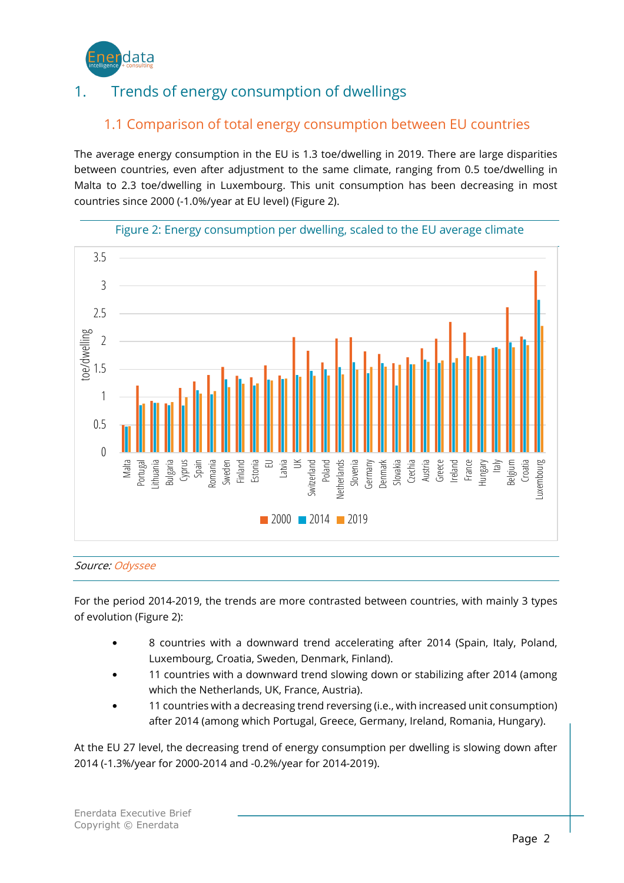

# 1. Trends of energy consumption of dwellings

### 1.1 Comparison of total energy consumption between EU countries

The average energy consumption in the EU is 1.3 toe/dwelling in 2019. There are large disparities between countries, even after adjustment to the same climate, ranging from 0.5 toe/dwelling in Malta to 2.3 toe/dwelling in Luxembourg. This unit consumption has been decreasing in most countries since 2000 (-1.0%/year at EU level) (Figure 2).





#### Source[: Odyssee](https://www.enerdata.net/research/energy-efficiency-odyssee-database.html)

For the period 2014-2019, the trends are more contrasted between countries, with mainly 3 types of evolution (Figure 2):

- 8 countries with a downward trend accelerating after 2014 (Spain, Italy, Poland, Luxembourg, Croatia, Sweden, Denmark, Finland).
- 11 countries with a downward trend slowing down or stabilizing after 2014 (among which the Netherlands, UK, France, Austria).
- 11 countries with a decreasing trend reversing (i.e., with increased unit consumption) after 2014 (among which Portugal, Greece, Germany, Ireland, Romania, Hungary).

At the EU 27 level, the decreasing trend of energy consumption per dwelling is slowing down after 2014 (-1.3%/year for 2000-2014 and -0.2%/year for 2014-2019).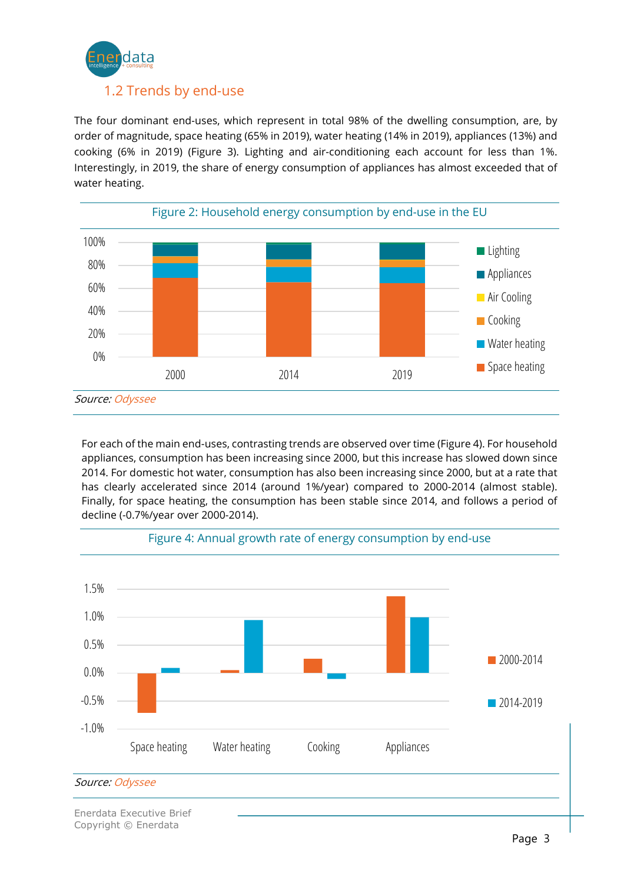

The four dominant end-uses, which represent in total 98% of the dwelling consumption, are, by order of magnitude, space heating (65% in 2019), water heating (14% in 2019), appliances (13%) and cooking (6% in 2019) (Figure 3). Lighting and air-conditioning each account for less than 1%. Interestingly, in 2019, the share of energy consumption of appliances has almost exceeded that of water heating.



For each of the main end-uses, contrasting trends are observed over time (Figure 4). For household appliances, consumption has been increasing since 2000, but this increase has slowed down since 2014. For domestic hot water, consumption has also been increasing since 2000, but at a rate that has clearly accelerated since 2014 (around 1%/year) compared to 2000-2014 (almost stable). Finally, for space heating, the consumption has been stable since 2014, and follows a period of decline (-0.7%/year over 2000-2014).



#### Figure 4: [Annual growth rate of energy consumption b](https://www.enerdata.net/research/energy-efficiency-odyssee-database.html)y end-use

Enerdata Executive Brief Copyright © Enerdata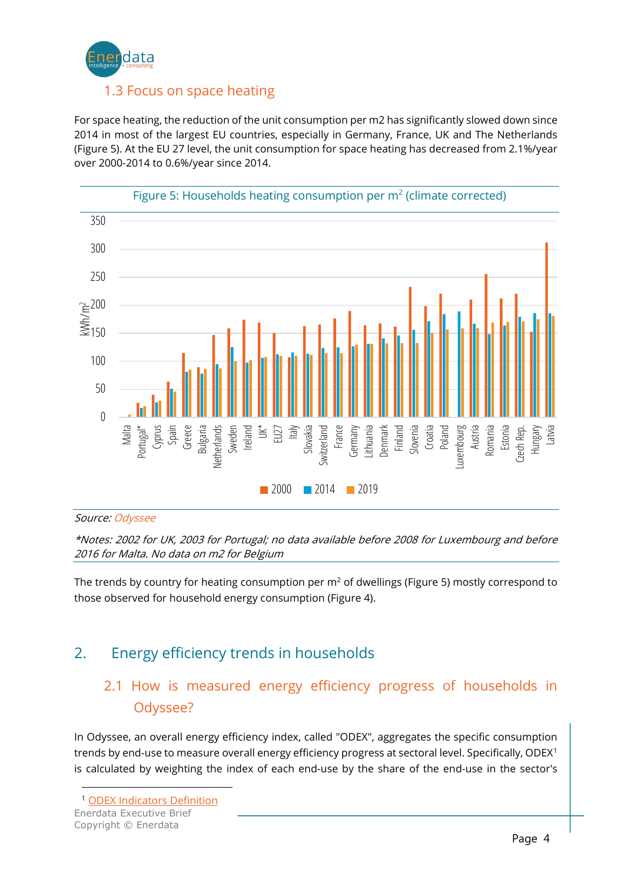

For space heating, the reduction of the unit consumption per m2 has significantly slowed down since 2014 in most of the largest EU countries, especially in Germany, France, UK and The Netherlands (Figure 5). At the EU 27 level, the unit consumption for space heating has decreased from 2.1%/year over 2000-2014 to 0.6%/year since 2014.



#### Source[: Odyssee](https://www.enerdata.net/research/energy-efficiency-odyssee-database.html)

\*Notes: 2002 for UK, 2003 for Portugal; no data available before 2008 for Luxembourg and before 2016 for Malta. No data on m2 for Belgium

The trends by country for heating consumption per  $m<sup>2</sup>$  of dwellings (Figure 5) mostly correspond to those observed for household energy consumption (Figure 4).

## 2. Energy efficiency trends in households

### 2.1 How is measured energy efficiency progress of households in Odyssee?

In Odyssee, an overall energy efficiency index, called "ODEX", aggregates the specific consumption trends by end-use to measure overall energy efficiency progress at sectoral level. Specifically, ODEX<sup>[1](#page-3-0)</sup> is calculated by weighting the index of each end-use by the share of the end-use in the sector's

<span id="page-3-0"></span>Enerdata Executive Brief <sup>1</sup> [ODEX Indicators Definition](https://www.odyssee-mure.eu/publications/other/odex-indicators-database-definition.pdf)

Copyright © Enerdata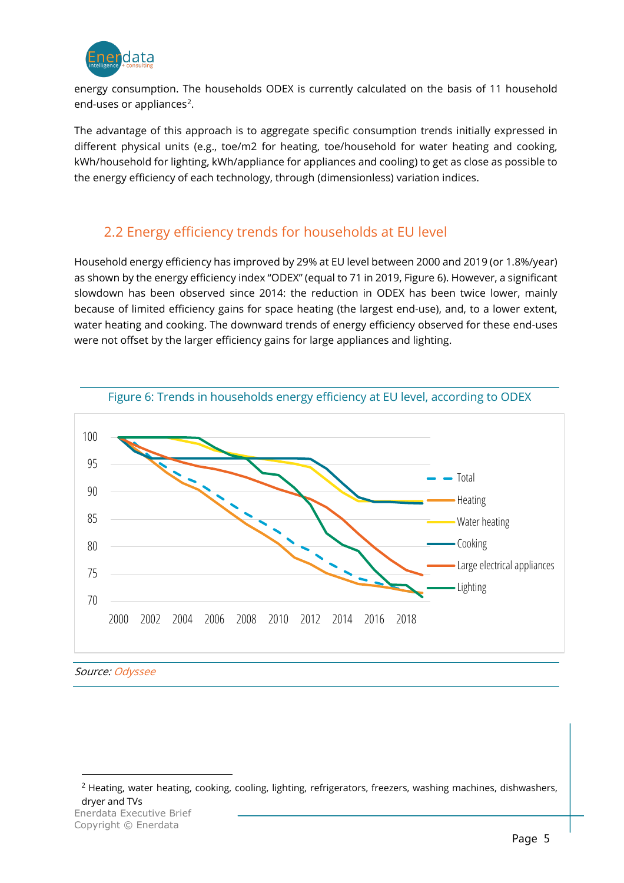

energy consumption. The households ODEX is currently calculated on the basis of 11 household end-uses or appliances<sup>[2](#page-4-0)</sup>.

The advantage of this approach is to aggregate specific consumption trends initially expressed in different physical units (e.g., toe/m2 for heating, toe/household for water heating and cooking, kWh/household for lighting, kWh/appliance for appliances and cooling) to get as close as possible to the energy efficiency of each technology, through (dimensionless) variation indices.

### 2.2 Energy efficiency trends for households at EU level

Household energy efficiency has improved by 29% at EU level between 2000 and 2019 (or 1.8%/year) as shown by the energy efficiency index "ODEX" (equal to 71 in 2019, Figure 6). However, a significant slowdown has been observed since 2014: the reduction in ODEX has been twice lower, mainly because of limited efficiency gains for space heating (the largest end-use), and, to a lower extent, water heating and cooking. The downward trends of energy efficiency observed for these end-uses were not offset by the larger efficiency gains for large appliances and lighting.



Source[: Odyssee](https://www.enerdata.net/research/energy-efficiency-odyssee-database.html) 

<span id="page-4-0"></span>Enerdata Executive Brief <sup>2</sup> Heating, water heating, cooking, cooling, lighting, refrigerators, freezers, washing machines, dishwashers, dryer and TVs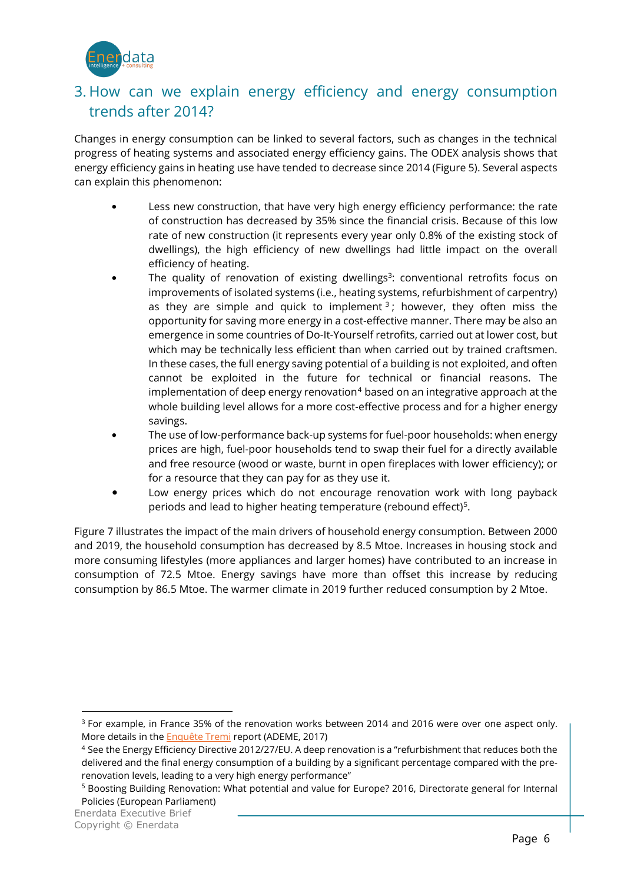

### 3. How can we explain energy efficiency and energy consumption trends after 2014?

Changes in energy consumption can be linked to several factors, such as changes in the technical progress of heating systems and associated energy efficiency gains. The ODEX analysis shows that energy efficiency gains in heating use have tended to decrease since 2014 (Figure 5). Several aspects can explain this phenomenon:

- Less new construction, that have very high energy efficiency performance: the rate of construction has decreased by 35% since the financial crisis. Because of this low rate of new construction (it represents every year only 0.8% of the existing stock of dwellings), the high efficiency of new dwellings had little impact on the overall efficiency of heating.
- The quality of renovation of existing dwellings<sup>3</sup>: conventional retrofits focus on improvements of isolated systems (i.e., heating systems, refurbishment of carpentry) as they are simple and quick to implement  $3$ ; however, they often miss the opportunity for saving more energy in a cost-effective manner. There may be also an emergence in some countries of Do-It-Yourself retrofits, carried out at lower cost, but which may be technically less efficient than when carried out by trained craftsmen. In these cases, the full energy saving potential of a building is not exploited, and often cannot be exploited in the future for technical or financial reasons. The implementation of deep energy renovation $4$  based on an integrative approach at the whole building level allows for a more cost-effective process and for a higher energy savings.
- The use of low-performance back-up systems for fuel-poor households: when energy prices are high, fuel-poor households tend to swap their fuel for a directly available and free resource (wood or waste, burnt in open fireplaces with lower efficiency); or for a resource that they can pay for as they use it.
- Low energy prices which do not encourage renovation work with long payback periods and lead to higher heating temperature (rebound effect)<sup>5</sup>.

Figure 7 illustrates the impact of the main drivers of household energy consumption. Between 2000 and 2019, the household consumption has decreased by 8.5 Mtoe. Increases in housing stock and more consuming lifestyles (more appliances and larger homes) have contributed to an increase in consumption of 72.5 Mtoe. Energy savings have more than offset this increase by reducing consumption by 86.5 Mtoe. The warmer climate in 2019 further reduced consumption by 2 Mtoe.

<span id="page-5-0"></span><sup>&</sup>lt;sup>3</sup> For example, in France 35% of the renovation works between 2014 and 2016 were over one aspect only. More details in the **Enquête Tremi** report (ADEME, 2017)

<span id="page-5-1"></span><sup>4</sup> See the Energy Efficiency Directive 2012/27/EU. A deep renovation is a "refurbishment that reduces both the delivered and the final energy consumption of a building by a significant percentage compared with the prerenovation levels, leading to a very high energy performance"

<span id="page-5-2"></span><sup>5</sup> Boosting Building Renovation: What potential and value for Europe? 2016, Directorate general for Internal Policies (European Parliament)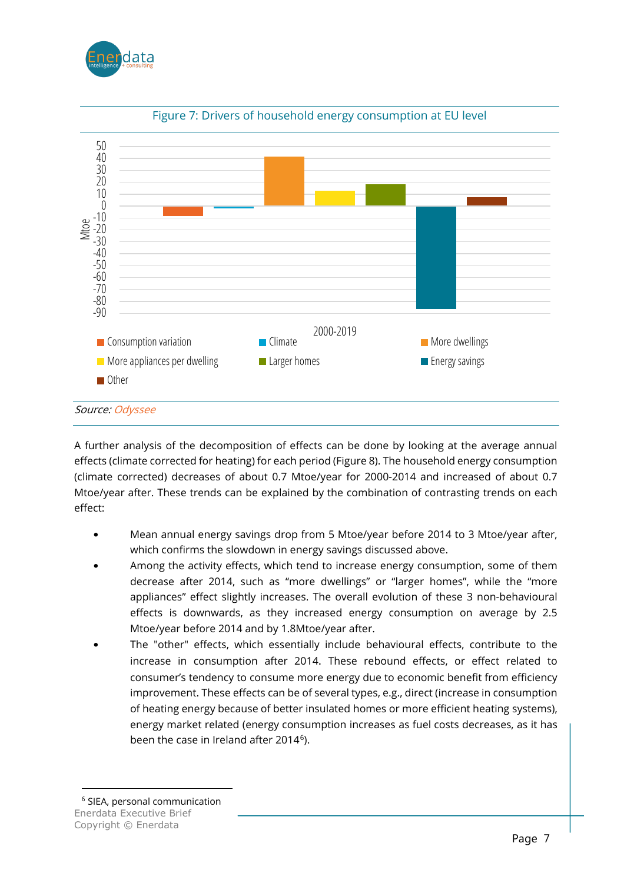



Figure 7: [Drivers of household energy consumption a](https://www.enerdata.net/research/energy-efficiency-odyssee-database.html)t EU level

A further analysis of the decomposition of effects can be done by looking at the average annual effects (climate corrected for heating) for each period (Figure 8). The household energy consumption (climate corrected) decreases of about 0.7 Mtoe/year for 2000-2014 and increased of about 0.7 Mtoe/year after. These trends can be explained by the combination of contrasting trends on each effect:

- Mean annual energy savings drop from 5 Mtoe/year before 2014 to 3 Mtoe/year after, which confirms the slowdown in energy savings discussed above.
- Among the activity effects, which tend to increase energy consumption, some of them decrease after 2014, such as "more dwellings" or "larger homes", while the "more appliances" effect slightly increases. The overall evolution of these 3 non-behavioural effects is downwards, as they increased energy consumption on average by 2.5 Mtoe/year before 2014 and by 1.8Mtoe/year after.
- The "other" effects, which essentially include behavioural effects, contribute to the increase in consumption after 2014. These rebound effects, or effect related to consumer's tendency to consume more energy due to economic benefit from efficiency improvement. These effects can be of several types, e.g., direct (increase in consumption of heating energy because of better insulated homes or more efficient heating systems), energy market related (energy consumption increases as fuel costs decreases, as it has been the case in Ireland after 2014<sup>6</sup>).

<span id="page-6-0"></span>Enerdata Executive Brief Copyright © Enerdata <sup>6</sup> SIEA, personal communication